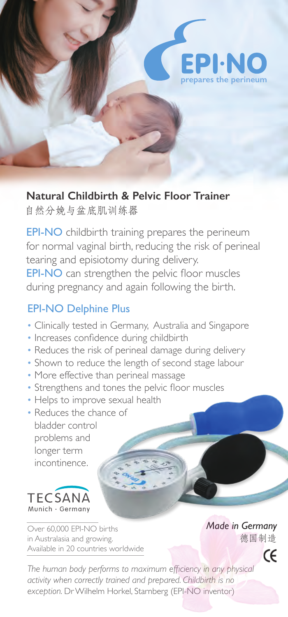

## **Natural Childbirth & Pelvic Floor Trainer**

自然分娩与盆底肌训练器

EPI-NO childbirth training prepares the perineum for normal vaginal birth, reducing the risk of perineal tearing and episiotomy during delivery. EPI-NO can strengthen the pelvic floor muscles during pregnancy and again following the birth.

# EPI-NO Delphine Plus

- Clinically tested in Germany, Australia and Singapore
- Increases confidence during childbirth
- Reduces the risk of perineal damage during delivery
- Shown to reduce the length of second stage labour
- More effective than perineal massage
- Strengthens and tones the pelvic floor muscles
- Helps to improve sexual health
- Reduces the chance of bladder control problems and longer term incontinence.



Over 60,000 EPI-NO births in Australasia and growing. Available in 20 countries worldwide *Made in Germany* 德国制造

 $\epsilon$ 

*The human body performs to maximum efficiency in any physical activity when correctly trained and prepared. Childbirth is no exception.* Dr Wilhelm Horkel, Starnberg (EPI-NO inventor)